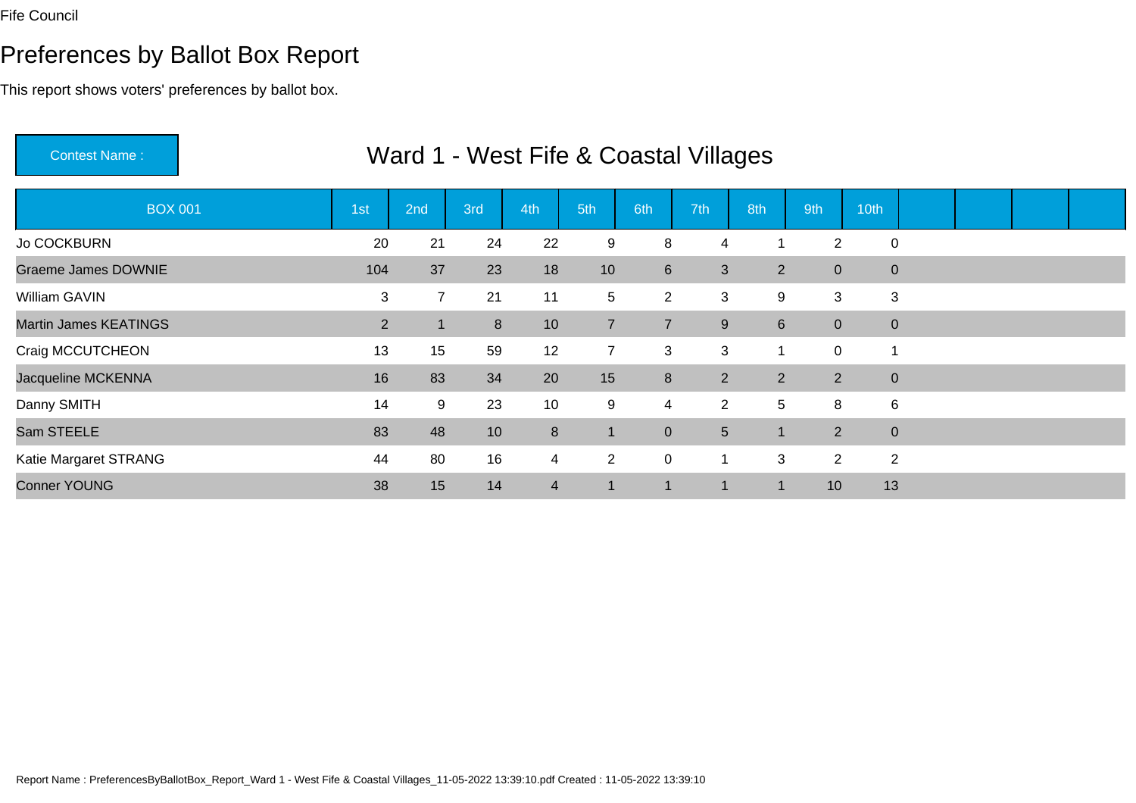# Preferences by Ballot Box Report

| <b>Contest Name:</b>         |                |                |                | Ward 1 - West Fife & Coastal Villages |                |                         |                |                |                |             |  |  |
|------------------------------|----------------|----------------|----------------|---------------------------------------|----------------|-------------------------|----------------|----------------|----------------|-------------|--|--|
| <b>BOX 001</b>               | 1st            | 2nd            | 3rd            | 4th                                   | 5th            | 6th                     | 7th            | 8th            | 9th            | 10th        |  |  |
| <b>Jo COCKBURN</b>           | 20             | 21             | 24             | 22                                    | 9              | 8                       | 4              | 1              | 2              | $\mathbf 0$ |  |  |
| <b>Graeme James DOWNIE</b>   | 104            | 37             | 23             | 18                                    | 10             | $6\phantom{1}$          | 3              | $2^{\circ}$    | $\overline{0}$ | $\mathbf 0$ |  |  |
| William GAVIN                | 3              | $\overline{7}$ | 21             | 11                                    | 5              | $\overline{2}$          | 3              | 9              | 3              | 3           |  |  |
| <b>Martin James KEATINGS</b> | $\overline{2}$ |                | 8 <sup>°</sup> | 10                                    | $\overline{7}$ | $\overline{7}$          | 9              | $6^{\circ}$    | $\overline{0}$ | $\pmb{0}$   |  |  |
| Craig MCCUTCHEON             | 13             | 15             | 59             | 12                                    | $\overline{7}$ | 3                       | 3              | 1              | $\pmb{0}$      |             |  |  |
| Jacqueline MCKENNA           | 16             | 83             | 34             | 20                                    | 15             | 8                       | $\overline{2}$ | $\overline{2}$ | 2              | $\mathbf 0$ |  |  |
| Danny SMITH                  | 14             | 9              | 23             | 10                                    | 9              | $\overline{\mathbf{4}}$ | $2^{\circ}$    | 5              | 8              | 6           |  |  |
| Sam STEELE                   | 83             | 48             | 10             | $\boldsymbol{8}$                      | $\vert$ 1      | $\mathbf{0}$            | 5              | $\overline{1}$ | 2              | $\mathbf 0$ |  |  |
| Katie Margaret STRANG        | 44             | 80             | 16             | $\overline{4}$                        | $\overline{2}$ | $\mathbf 0$             |                | 3              | $\overline{2}$ | 2           |  |  |
| <b>Conner YOUNG</b>          | 38             | 15             | 14             | $\overline{4}$                        | 1              | $\blacksquare$          |                | -1             | 10             | 13          |  |  |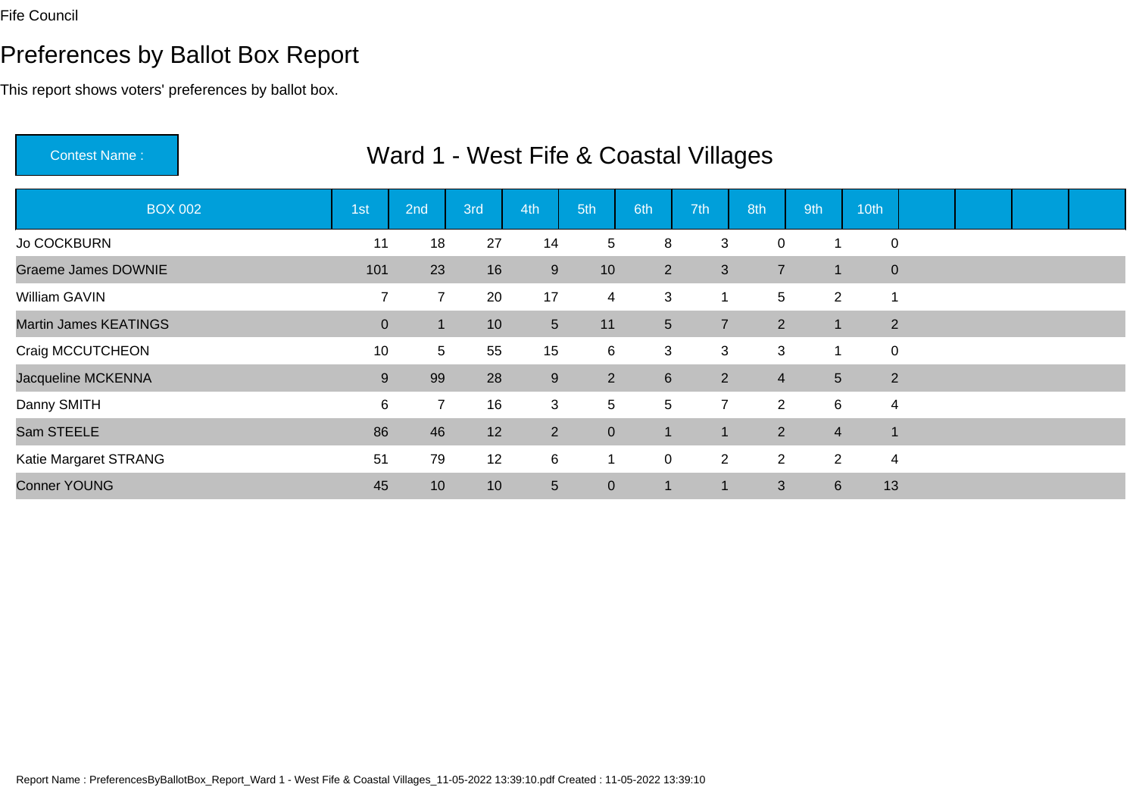# Preferences by Ballot Box Report

| <b>Contest Name:</b>         |                |                |                 | Ward 1 - West Fife & Coastal Villages |                 |                 |                |                |                 |             |  |  |
|------------------------------|----------------|----------------|-----------------|---------------------------------------|-----------------|-----------------|----------------|----------------|-----------------|-------------|--|--|
| <b>BOX 002</b>               | 1st            | 2nd            | 3rd             | 4th                                   | 5th             | 6th             | 7th            | 8th            | 9th             | 10th        |  |  |
| <b>Jo COCKBURN</b>           | 11             | 18             | 27              | 14                                    | 5               | 8               | 3              | 0              | -1              | $\mathbf 0$ |  |  |
| <b>Graeme James DOWNIE</b>   | 101            | 23             | 16              | $9\,$                                 | 10 <sup>°</sup> | $\overline{2}$  | 3              | $\overline{7}$ | $\mathbf{1}$    | $\mathbf 0$ |  |  |
| William GAVIN                | $\overline{7}$ | $\overline{7}$ | 20              | 17                                    | $\overline{4}$  | 3               | 1              | 5              | $\overline{2}$  |             |  |  |
| <b>Martin James KEATINGS</b> | $\overline{0}$ |                | 10 <sup>°</sup> | 5 <sup>5</sup>                        | 11              | $5\overline{)}$ | $\overline{7}$ | 2              | $\mathbf{1}$    | 2           |  |  |
| Craig MCCUTCHEON             | 10             | 5              | 55              | 15                                    | 6               | 3               | 3              | 3              | 1               | $\pmb{0}$   |  |  |
| Jacqueline MCKENNA           | 9              | 99             | 28              | $\boldsymbol{9}$                      | $\overline{2}$  | 6               | $\overline{2}$ | $\overline{4}$ | $5\phantom{.0}$ | 2           |  |  |
| Danny SMITH                  | 6              | $\overline{7}$ | 16              | 3                                     | 5               | 5               | $\overline{7}$ | $\overline{2}$ | 6               | 4           |  |  |
| Sam STEELE                   | 86             | 46             | 12              | 2                                     | $\mathbf 0$     | 1               | 1              | $\overline{2}$ | $\overline{4}$  |             |  |  |
| Katie Margaret STRANG        | 51             | 79             | 12              | 6                                     |                 | $\mathbf 0$     | $\overline{2}$ | $\overline{2}$ | $\overline{2}$  | 4           |  |  |
| <b>Conner YOUNG</b>          | 45             | 10             | 10              | 5                                     | $\overline{0}$  | 1               |                | 3              | $\,6\,$         | 13          |  |  |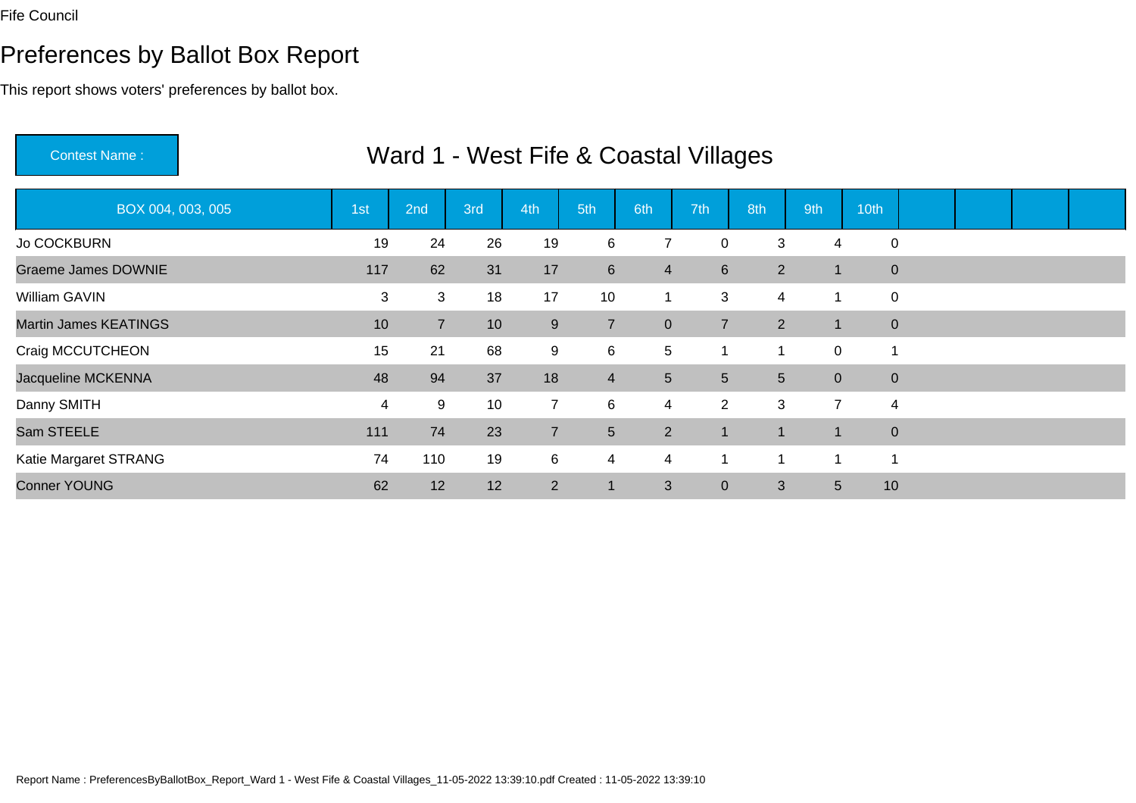# Preferences by Ballot Box Report

This report shows voters' preferences by ballot box.

| <b>Contest Name:</b>         |     | Ward 1 - West Fife & Coastal Villages |     |                |                 |                |                |                |                 |             |  |  |
|------------------------------|-----|---------------------------------------|-----|----------------|-----------------|----------------|----------------|----------------|-----------------|-------------|--|--|
| BOX 004, 003, 005            | 1st | 2nd                                   | 3rd | 4th            | 5th             | 6th            | 7th            | 8th            | 9th             | 10th        |  |  |
| Jo COCKBURN                  | 19  | 24                                    | 26  | 19             | 6               | 7              | 0              | 3              | $\overline{4}$  | $\mathbf 0$ |  |  |
| <b>Graeme James DOWNIE</b>   | 117 | 62                                    | 31  | 17             | $6\overline{6}$ | $\overline{4}$ | 6              | $2^{\circ}$    | $\mathbf{1}$    | $\mathbf 0$ |  |  |
| William GAVIN                | 3   | 3                                     | 18  | 17             | 10              | 1              | 3              | $\overline{4}$ | 1               | $\mathbf 0$ |  |  |
| <b>Martin James KEATINGS</b> | 10  | 7 <sup>1</sup>                        | 10  | $9\,$          | $\overline{7}$  | $\mathbf{0}$   | $\overline{7}$ | $\overline{2}$ | $\mathbf{1}$    | $\mathbf 0$ |  |  |
| Craig MCCUTCHEON             | 15  | 21                                    | 68  | 9              | 6               | 5              |                | $\mathbf 1$    | 0               |             |  |  |
| Jacqueline MCKENNA           | 48  | 94                                    | 37  | 18             | $\overline{4}$  | $\sqrt{5}$     | 5              | 5 <sup>5</sup> | $\overline{0}$  | $\pmb{0}$   |  |  |
| Danny SMITH                  | 4   | 9                                     | 10  | $\overline{7}$ | 6               | $\overline{4}$ | $\overline{2}$ | 3              | $\overline{7}$  | 4           |  |  |
| Sam STEELE                   | 111 | 74                                    | 23  | $\overline{7}$ | $5\overline{)}$ | 2              | 1              | $\overline{1}$ | $\mathbf{1}$    | $\mathbf 0$ |  |  |
| Katie Margaret STRANG        | 74  | 110                                   | 19  | 6              | $\overline{4}$  | $\overline{4}$ |                | 1              | -1              | 1           |  |  |
| <b>Conner YOUNG</b>          | 62  | 12                                    | 12  | $\overline{2}$ | 1               | 3              | $\overline{0}$ | 3              | $5\phantom{.0}$ | 10          |  |  |

Report Name : PreferencesByBallotBox\_Report\_Ward 1 - West Fife & Coastal Villages\_11-05-2022 13:39:10.pdf Created : 11-05-2022 13:39:10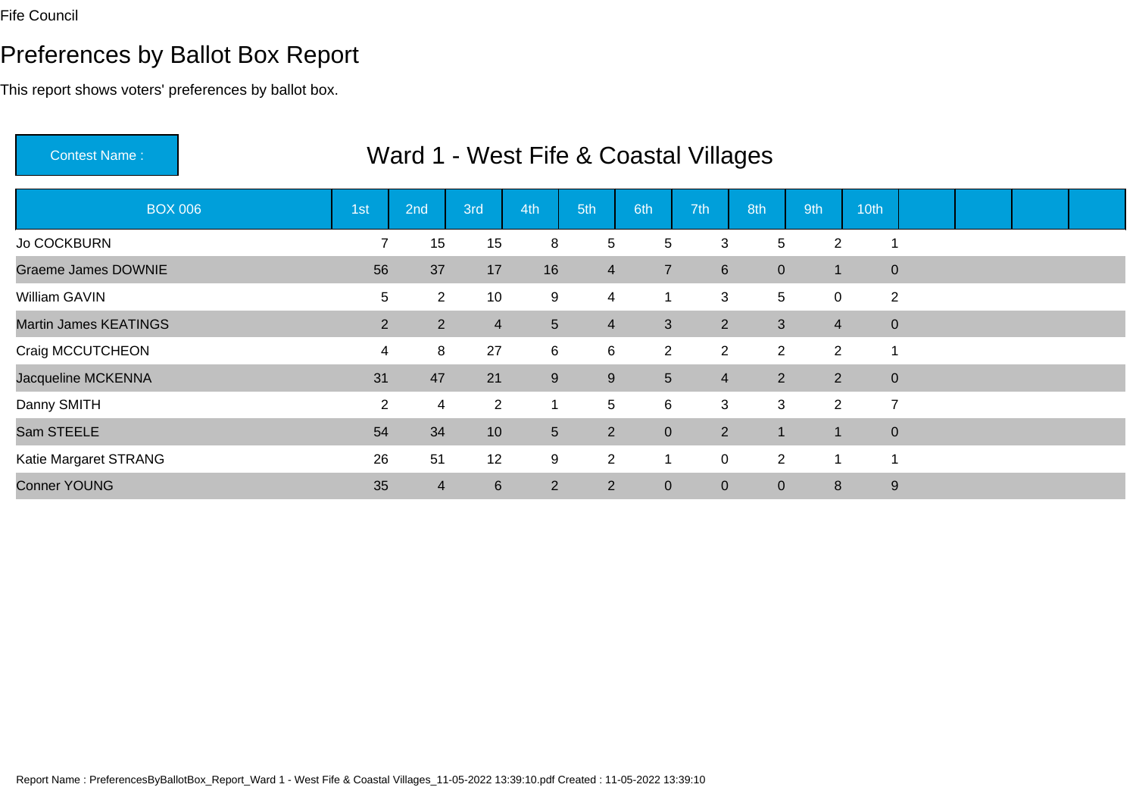# Preferences by Ballot Box Report

| <b>Contest Name:</b>         |                |                |                 | Ward 1 - West Fife & Coastal Villages |                 |                 |                  |                |                |                |  |  |
|------------------------------|----------------|----------------|-----------------|---------------------------------------|-----------------|-----------------|------------------|----------------|----------------|----------------|--|--|
| <b>BOX 006</b>               | 1st            | 2nd            | 3rd             | 4th                                   | 5th             | 6th             | 7th              | 8th            | 9th            | 10th           |  |  |
| Jo COCKBURN                  | $\overline{7}$ | 15             | 15              | 8                                     | 5               | 5               | 3                | 5              | $\overline{2}$ |                |  |  |
| <b>Graeme James DOWNIE</b>   | 56             | 37             | 17              | 16                                    | $\overline{4}$  | $\overline{7}$  | $6 \overline{6}$ | $\overline{0}$ | $\mathbf{1}$   | $\overline{0}$ |  |  |
| William GAVIN                | 5              | $\overline{2}$ | 10              | 9                                     | $\overline{4}$  | $\mathbf{1}$    | 3                | 5              | $\mathbf 0$    | $\overline{2}$ |  |  |
| <b>Martin James KEATINGS</b> | $\overline{2}$ | $\overline{2}$ | $\overline{4}$  | 5                                     | $\overline{4}$  | 3               | $\overline{2}$   | 3 <sup>1</sup> | $\overline{4}$ | $\overline{0}$ |  |  |
| Craig MCCUTCHEON             | 4              | 8              | 27              | 6                                     | 6               | $\overline{2}$  | $\overline{2}$   | $\overline{2}$ | $\overline{2}$ |                |  |  |
| Jacqueline MCKENNA           | 31             | 47             | 21              | $\boldsymbol{9}$                      | 9               | $5\phantom{.0}$ | $\overline{4}$   | $2^{\circ}$    | $\overline{2}$ | $\mathbf 0$    |  |  |
| Danny SMITH                  | $\overline{2}$ | 4              | $\overline{2}$  | $\mathbf 1$                           | $5\overline{)}$ | 6               | 3                | 3              | $\overline{2}$ | $\overline{7}$ |  |  |
| Sam STEELE                   | 54             | 34             | 10              | 5                                     | $\overline{2}$  | $\mathbf 0$     | $\overline{2}$   | $\overline{1}$ | 1              | $\mathbf 0$    |  |  |
| Katie Margaret STRANG        | 26             | 51             | 12              | 9                                     | $\overline{2}$  | 1               | 0                | $\overline{2}$ | 1              |                |  |  |
| <b>Conner YOUNG</b>          | 35             | 4              | $6\phantom{1}6$ | $\overline{2}$                        | $\overline{2}$  | $\mathbf 0$     | $\mathbf{0}$     | $\overline{0}$ | 8              | 9              |  |  |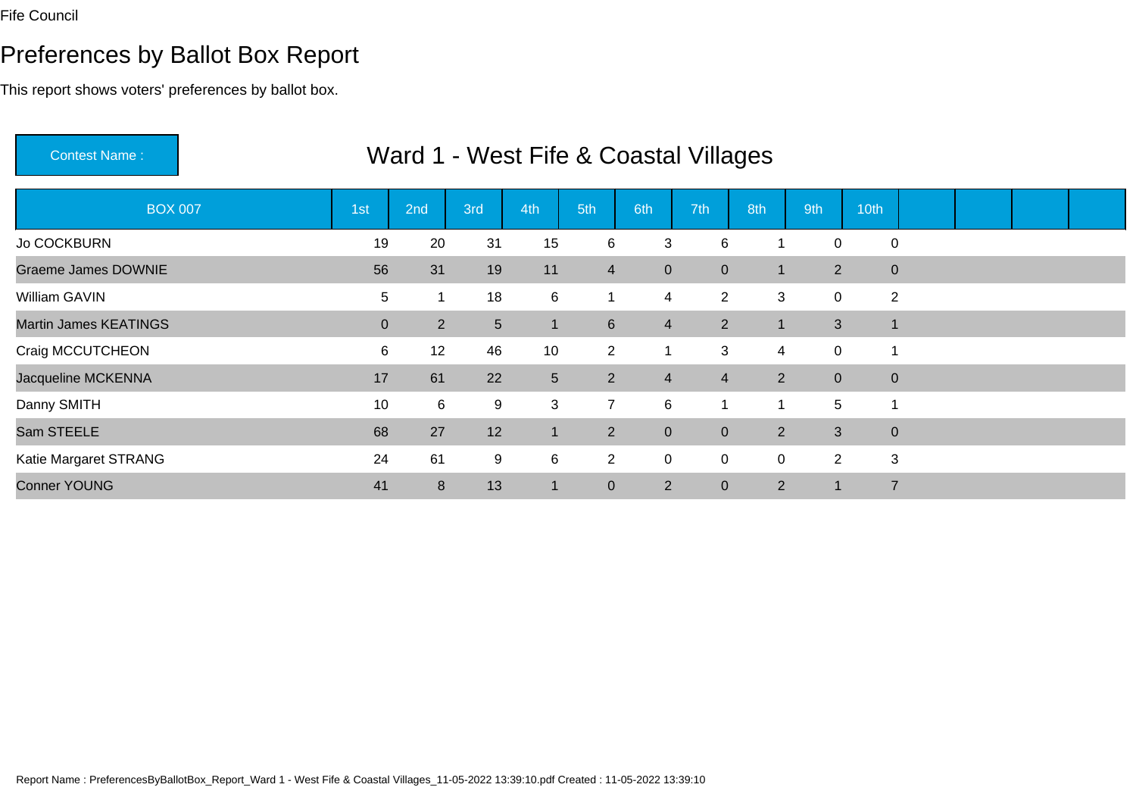# Preferences by Ballot Box Report

| <b>Contest Name:</b>         |                |                |                | Ward 1 - West Fife & Coastal Villages |                 |                |                |                |             |                             |             |  |  |
|------------------------------|----------------|----------------|----------------|---------------------------------------|-----------------|----------------|----------------|----------------|-------------|-----------------------------|-------------|--|--|
| <b>BOX 007</b>               | 1st            | 2nd            | 3rd            | 4th                                   | 5th             | 6th            | 7th            | 8th            | 9th         | 10th                        |             |  |  |
| Jo COCKBURN                  | 19             | 20             | 31             | 15                                    | 6               | 3              | 6              | 1              | $\mathbf 0$ | $\mathbf 0$                 |             |  |  |
| <b>Graeme James DOWNIE</b>   | 56             | 31             | 19             | 11                                    | $\overline{4}$  | $\mathbf 0$    | $\overline{0}$ | 1              |             | $2^{\circ}$                 | $\mathbf 0$ |  |  |
| William GAVIN                | 5              |                | 18             | $\,6$                                 |                 | 4              | $\overline{2}$ | 3              |             | $\mathbf 0$                 | 2           |  |  |
| <b>Martin James KEATINGS</b> | $\overline{0}$ | 2 <sup>1</sup> | 5 <sup>5</sup> | 1                                     | $6\overline{6}$ | $\overline{4}$ | 2 <sup>1</sup> |                |             | 3<br>$\blacksquare$         |             |  |  |
| Craig MCCUTCHEON             | 6              | 12             | 46             | 10                                    | $\overline{2}$  |                | 3              | 4              |             | $\mathbf 0$                 |             |  |  |
| Jacqueline MCKENNA           | 17             | 61             | 22             | $\overline{5}$                        | $2^{\circ}$     | $\overline{4}$ | $\overline{4}$ | $2^{\circ}$    |             | $\overline{0}$<br>$\pmb{0}$ |             |  |  |
| Danny SMITH                  | 10             | 6              | 9              | 3                                     | $\overline{7}$  | 6              |                | 1              |             | 5                           |             |  |  |
| Sam STEELE                   | 68             | 27             | 12             | 1                                     | $\overline{2}$  | $\mathbf{0}$   | $\overline{0}$ | $\overline{2}$ |             | 3<br>$\mathbf 0$            |             |  |  |
| Katie Margaret STRANG        | 24             | 61             | 9              | 6                                     | $\overline{2}$  | $\mathbf 0$    | 0              | $\overline{0}$ |             | 2<br>3                      |             |  |  |
| <b>Conner YOUNG</b>          | 41             | 8              | 13             | 1                                     | $\overline{0}$  | $\overline{2}$ | $\mathbf{0}$   | 2              | $\mathbf 1$ | $\overline{7}$              |             |  |  |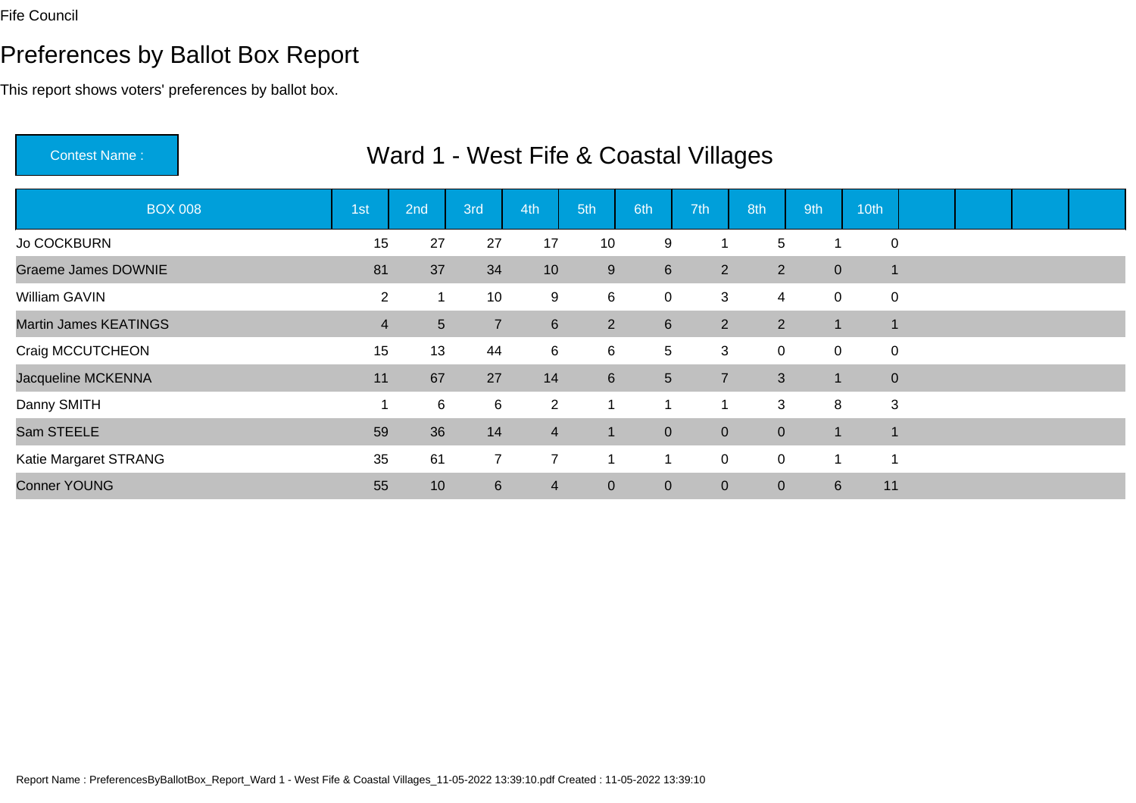# Preferences by Ballot Box Report

| <b>Contest Name:</b>         |                |                |                | Ward 1 - West Fife & Coastal Villages |                |                |                |                |                |                |  |  |
|------------------------------|----------------|----------------|----------------|---------------------------------------|----------------|----------------|----------------|----------------|----------------|----------------|--|--|
| <b>BOX 008</b>               | 1st            | 2nd            | 3rd            | 4th                                   | 5th            | 6th            | 7th            | 8th            | 9th            | 10th           |  |  |
| Jo COCKBURN                  | 15             | 27             | 27             | 17                                    | 10             | 9              |                | 5              | -1             | $\mathbf 0$    |  |  |
| <b>Graeme James DOWNIE</b>   | 81             | 37             | 34             | 10                                    | 9              | $6\phantom{1}$ | $\overline{2}$ | $2^{\circ}$    | $\overline{0}$ | $\blacksquare$ |  |  |
| William GAVIN                | $\overline{2}$ |                | 10             | 9                                     | 6              | $\mathbf 0$    | 3              | $\overline{4}$ | $\mathbf 0$    | $\mathbf 0$    |  |  |
| <b>Martin James KEATINGS</b> | 4              | 5 <sup>5</sup> | $\overline{7}$ | $6\phantom{.}$                        | $\overline{2}$ | $6\phantom{1}$ | 2 <sup>1</sup> | $2^{\circ}$    | $\mathbf{1}$   | $\mathbf 1$    |  |  |
| Craig MCCUTCHEON             | 15             | 13             | 44             | 6                                     | 6              | 5              | 3              | $\mathbf 0$    | $\mathbf 0$    | $\pmb{0}$      |  |  |
| Jacqueline MCKENNA           | 11             | 67             | 27             | 14                                    | $6\phantom{1}$ | $5\phantom{.}$ | $\overline{7}$ | 3 <sup>1</sup> | $\mathbf{1}$   | $\mathbf 0$    |  |  |
| Danny SMITH                  |                | 6              | 6              | $\overline{2}$                        |                |                |                | 3              | 8              | 3              |  |  |
| Sam STEELE                   | 59             | 36             | 14             | $\overline{4}$                        | $\mathbf{1}$   | $\mathbf{0}$   | $\overline{0}$ | $\overline{0}$ | $\mathbf 1$    |                |  |  |
| Katie Margaret STRANG        | 35             | 61             | $\overline{7}$ | $\overline{7}$                        |                |                | 0              | $\overline{0}$ | 1              |                |  |  |
| <b>Conner YOUNG</b>          | 55             | 10             | $6\phantom{1}$ | $\overline{4}$                        | $\overline{0}$ | $\overline{0}$ | $\overline{0}$ | $\overline{0}$ | 6              | 11             |  |  |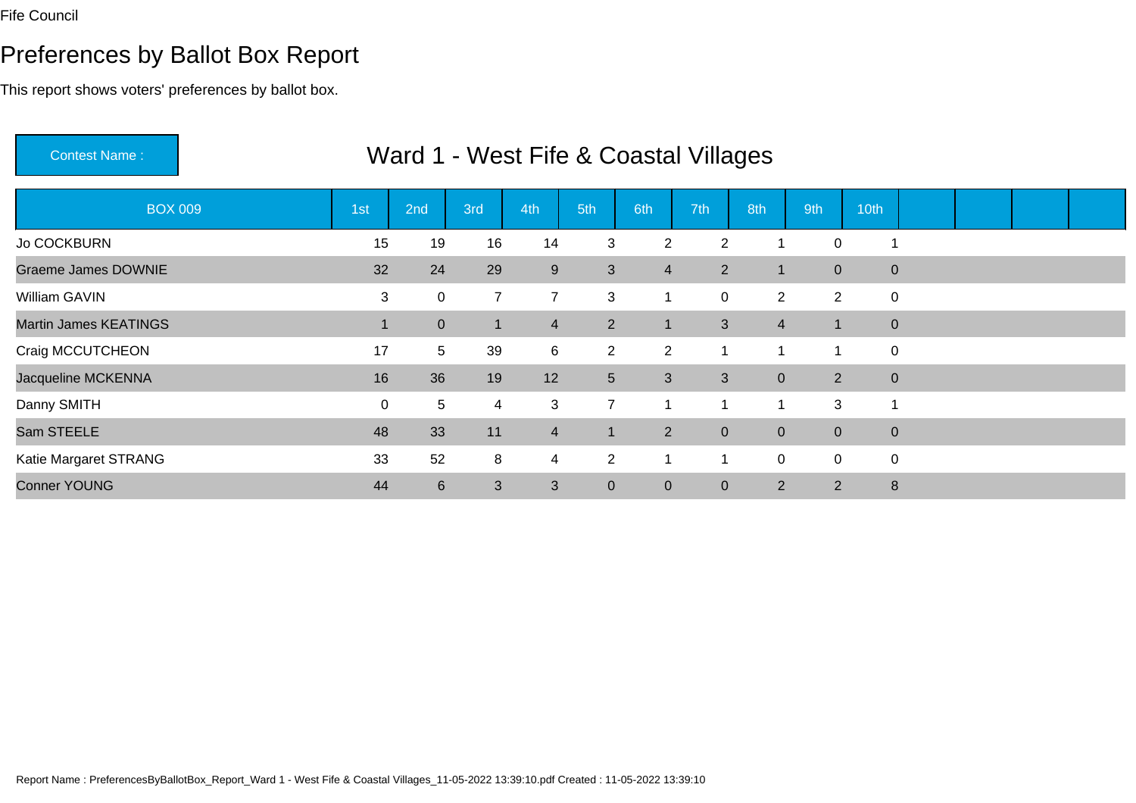# Preferences by Ballot Box Report

| <b>Contest Name:</b>         |     |                  |                | Ward 1 - West Fife & Coastal Villages |                |                |                |                |                |                  |  |  |
|------------------------------|-----|------------------|----------------|---------------------------------------|----------------|----------------|----------------|----------------|----------------|------------------|--|--|
| <b>BOX 009</b>               | 1st | 2nd              | 3rd            | 4th                                   | 5th            | 6th            | 7th            | 8th            | 9th            | 10th             |  |  |
| Jo COCKBURN                  | 15  | 19               | 16             | 14                                    | 3              | $\overline{2}$ | 2              | ٠              | $\Omega$       |                  |  |  |
| <b>Graeme James DOWNIE</b>   | 32  | 24               | 29             | 9                                     | $\mathbf{3}$   | $\overline{4}$ | 2 <sup>1</sup> | 1              | $\overline{0}$ | $\mathbf 0$      |  |  |
| William GAVIN                | 3   | $\mathbf 0$      | $\overline{7}$ | $\overline{7}$                        | 3              | 1              | 0              | $\overline{2}$ | $\overline{2}$ | $\mathbf 0$      |  |  |
| <b>Martin James KEATINGS</b> |     | $\overline{0}$   | $\mathbf 1$    | $\overline{4}$                        | $\overline{2}$ | $\mathbf{1}$   | 3              | $\overline{4}$ | $\mathbf{1}$   | $\mathbf 0$      |  |  |
| Craig MCCUTCHEON             | 17  | 5                | 39             | 6                                     | $\overline{2}$ | $\overline{2}$ |                | 1              | 1              | $\pmb{0}$        |  |  |
| Jacqueline MCKENNA           | 16  | 36               | 19             | 12                                    | 5 <sub>5</sub> | 3              | 3              | $\overline{0}$ | $2^{\circ}$    | $\boldsymbol{0}$ |  |  |
| Danny SMITH                  | 0   | 5                | 4              | 3                                     | $\overline{7}$ | 1              |                | 1              | 3              |                  |  |  |
| Sam STEELE                   | 48  | 33               | 11             | $\overline{4}$                        | $\blacksquare$ | 2              | $\overline{0}$ | $\overline{0}$ | $\mathbf{0}$   | $\mathbf 0$      |  |  |
| Katie Margaret STRANG        | 33  | 52               | 8              | 4                                     | $\overline{2}$ |                |                | 0              | $\mathbf 0$    | $\pmb{0}$        |  |  |
| <b>Conner YOUNG</b>          | 44  | $6 \overline{6}$ | 3              | 3                                     | $\overline{0}$ | $\mathbf{0}$   | $\overline{0}$ | 2              | $\overline{2}$ | $\bf 8$          |  |  |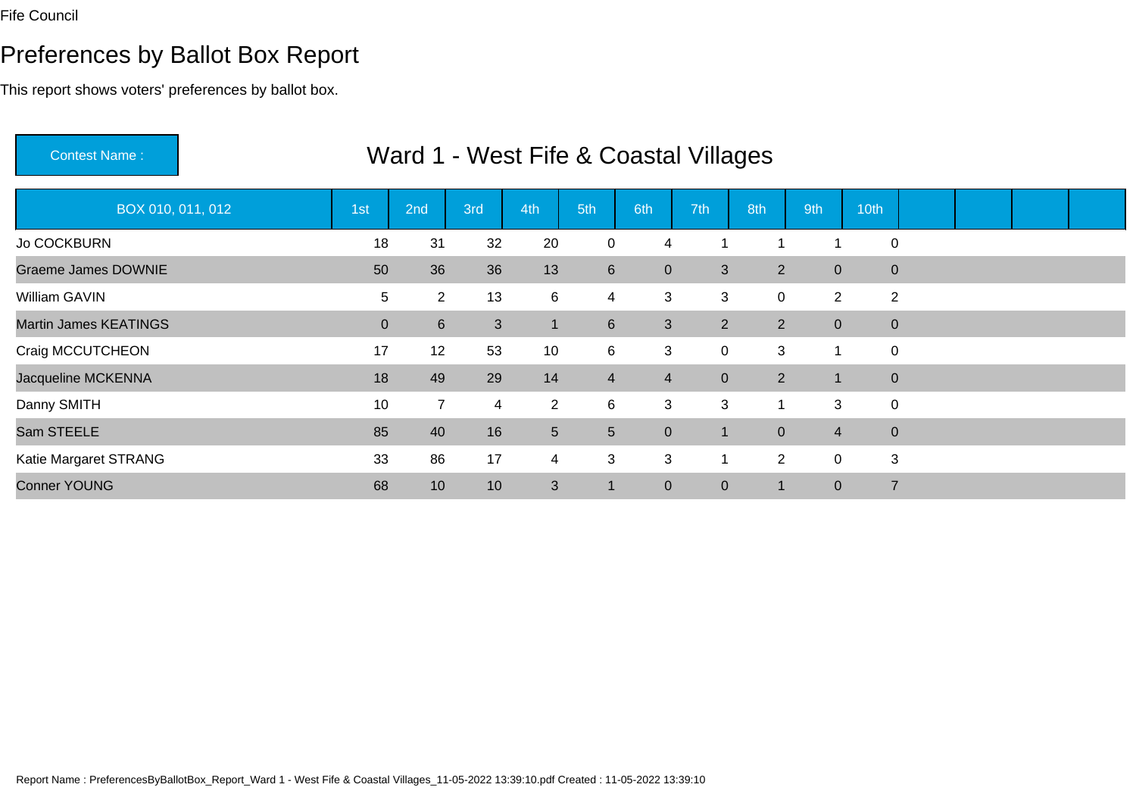# Preferences by Ballot Box Report

| <b>Contest Name:</b>         |                |                  |                | Ward 1 - West Fife & Coastal Villages |                 |                |                |                |                |                |  |  |
|------------------------------|----------------|------------------|----------------|---------------------------------------|-----------------|----------------|----------------|----------------|----------------|----------------|--|--|
| BOX 010, 011, 012            | 1st            | 2nd              | 3rd            | 4th                                   | 5th             | 6th            | 7th            | 8th            | 9th            | 10th           |  |  |
| <b>Jo COCKBURN</b>           | 18             | 31               | 32             | 20                                    | $\mathbf 0$     | 4              |                | ٠              | 1              | $\mathbf 0$    |  |  |
| <b>Graeme James DOWNIE</b>   | 50             | 36               | 36             | 13                                    | $6\overline{6}$ | $\mathbf{0}$   | 3              | $\overline{2}$ | $\overline{0}$ | $\mathbf 0$    |  |  |
| William GAVIN                | 5              | $\overline{2}$   | 13             | $\,6$                                 | 4               | 3              | 3              | 0              | $\overline{2}$ | 2              |  |  |
| <b>Martin James KEATINGS</b> | $\overline{0}$ | $6 \overline{6}$ | 3 <sup>1</sup> | $\mathbf 1$                           | $6\phantom{1}$  | 3              | 2 <sup>1</sup> | 2 <sup>1</sup> | $\overline{0}$ | $\mathbf 0$    |  |  |
| Craig MCCUTCHEON             | 17             | 12               | 53             | 10                                    | 6               | 3              | 0              | 3              | 1              | $\pmb{0}$      |  |  |
| Jacqueline MCKENNA           | 18             | 49               | 29             | 14                                    | $\overline{4}$  | $\overline{4}$ | $\mathbf{0}$   | $\overline{2}$ | $\mathbf 1$    | $\mathbf 0$    |  |  |
| Danny SMITH                  | 10             | $\overline{7}$   | 4              | $\overline{2}$                        | 6               | 3              | 3              | $\mathbf 1$    | 3              | $\mathbf 0$    |  |  |
| Sam STEELE                   | 85             | 40               | 16             | 5                                     | 5               | $\mathbf{0}$   | 1              | $\overline{0}$ | $\overline{4}$ | $\mathbf 0$    |  |  |
| Katie Margaret STRANG        | 33             | 86               | 17             | $\overline{4}$                        | 3               | $\mathbf{3}$   |                | $\overline{2}$ | $\mathbf 0$    | 3              |  |  |
| <b>Conner YOUNG</b>          | 68             | 10               | 10             | 3                                     | $\vert$ 1       | $\mathbf{0}$   | $\overline{0}$ | -1             | $\mathbf{0}$   | $\overline{7}$ |  |  |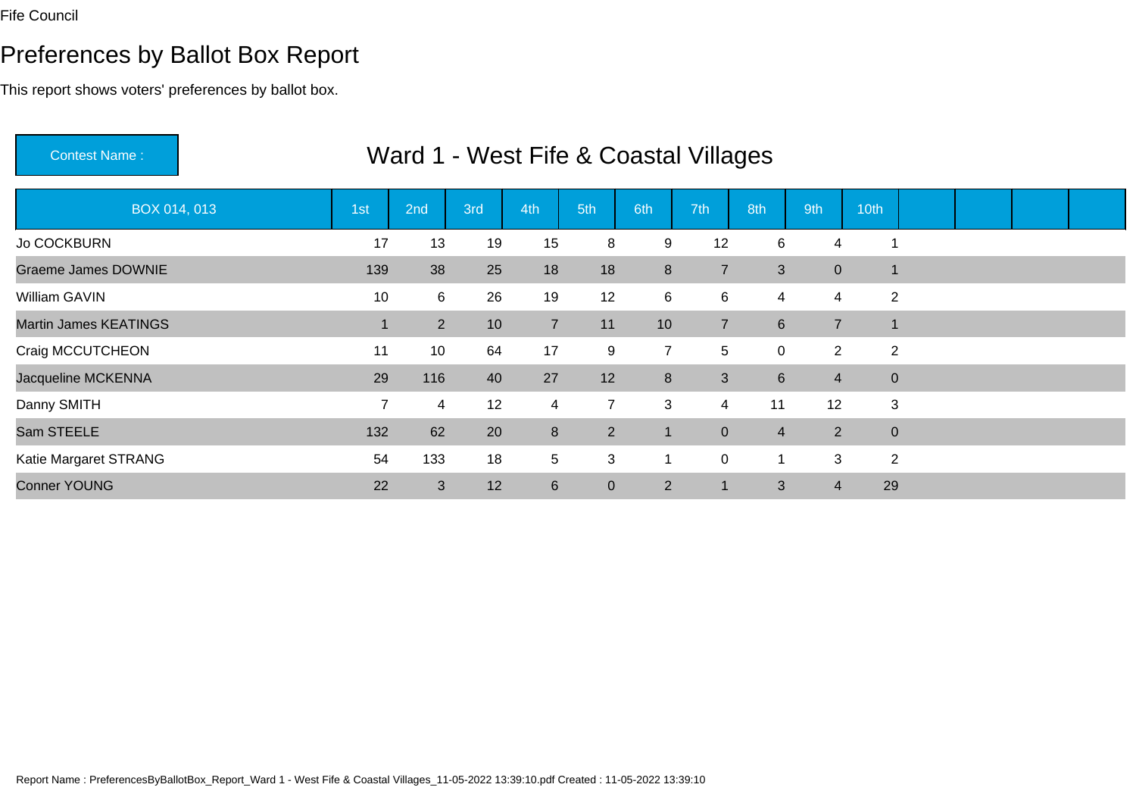# Preferences by Ballot Box Report

| <b>Contest Name:</b>         |                |             |                 |                |                | Ward 1 - West Fife & Coastal Villages |                |                         |                |                |  |  |
|------------------------------|----------------|-------------|-----------------|----------------|----------------|---------------------------------------|----------------|-------------------------|----------------|----------------|--|--|
| BOX 014, 013                 | 1st            | 2nd         | 3rd             | 4th            | 5th            | 6th                                   | 7th            | 8th                     | 9th            | 10th           |  |  |
| <b>Jo COCKBURN</b>           | 17             | 13          | 19              | 15             | 8              | 9                                     | 12             | 6                       | $\overline{4}$ |                |  |  |
| <b>Graeme James DOWNIE</b>   | 139            | 38          | 25              | 18             | 18             | 8                                     | $\overline{7}$ | 3                       | $\overline{0}$ | $\mathbf{1}$   |  |  |
| William GAVIN                | 10             | 6           | 26              | 19             | 12             | 6                                     | 6              | $\overline{4}$          | $\overline{4}$ | $\overline{2}$ |  |  |
| <b>Martin James KEATINGS</b> |                | $2^{\circ}$ | 10 <sup>1</sup> | $\overline{7}$ | 11             | 10                                    | $\overline{7}$ | 6 <sup>1</sup>          | $\overline{7}$ | $\mathbf{1}$   |  |  |
| Craig MCCUTCHEON             | 11             | 10          | 64              | 17             | 9              | $\overline{7}$                        | 5              | $\mathbf{0}$            | $\overline{2}$ | $\overline{c}$ |  |  |
| Jacqueline MCKENNA           | 29             | 116         | 40              | 27             | 12             | 8                                     | 3              | $6 \overline{6}$        | $\overline{4}$ | $\overline{0}$ |  |  |
| Danny SMITH                  | $\overline{7}$ | 4           | 12              | 4              | $\overline{7}$ | 3                                     | 4              | 11                      | 12             | 3              |  |  |
| Sam STEELE                   | 132            | 62          | 20              | 8              | $\overline{2}$ | $\mathbf{1}$                          | $\overline{0}$ | $\overline{4}$          | $\overline{2}$ | $\mathbf{0}$   |  |  |
| Katie Margaret STRANG        | 54             | 133         | 18              | 5              | 3              |                                       | $\overline{0}$ | $\overline{\mathbf{1}}$ | 3              | 2              |  |  |
| <b>Conner YOUNG</b>          | 22             | 3           | 12              | $6\phantom{1}$ | $\overline{0}$ | 2                                     | 1              | 3                       | $\overline{4}$ | 29             |  |  |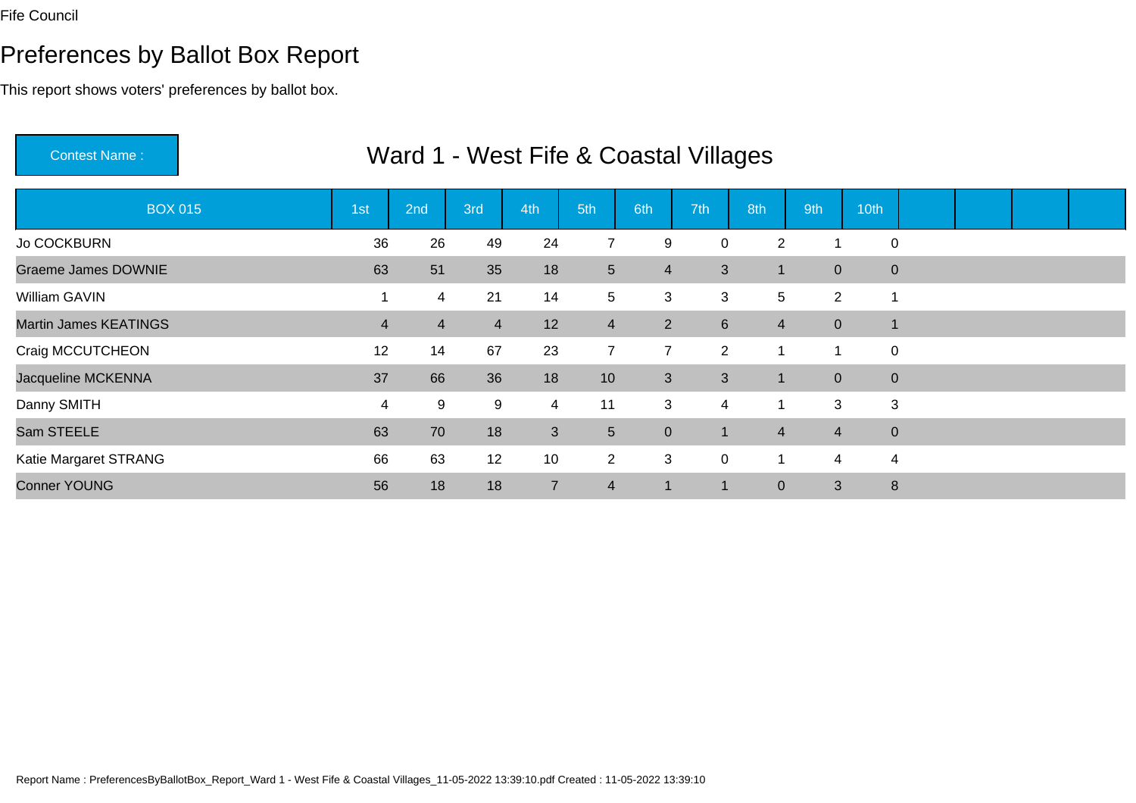# Preferences by Ballot Box Report

| <b>Contest Name:</b>         |                |                |                | Ward 1 - West Fife & Coastal Villages |                 |                |                  |                |                |                  |  |  |
|------------------------------|----------------|----------------|----------------|---------------------------------------|-----------------|----------------|------------------|----------------|----------------|------------------|--|--|
| <b>BOX 015</b>               | 1st            | 2nd            | 3rd            | 4th                                   | 5th             | 6th            | 7th              | 8th            | 9th            | 10th             |  |  |
| Jo COCKBURN                  | 36             | 26             | 49             | 24                                    | $\overline{7}$  | 9              | 0                | $\overline{2}$ |                | $\mathbf 0$      |  |  |
| <b>Graeme James DOWNIE</b>   | 63             | 51             | 35             | 18                                    | 5 <sup>5</sup>  | $\overline{4}$ | 3                | 1              | $\overline{0}$ | $\mathbf{0}$     |  |  |
| William GAVIN                | 1              | 4              | 21             | 14                                    | 5               | 3              | 3                | 5              | $\overline{2}$ | -1               |  |  |
| <b>Martin James KEATINGS</b> | $\overline{4}$ | $\overline{4}$ | $\overline{4}$ | 12                                    | $\overline{4}$  | 2              | $6 \overline{6}$ | $\overline{4}$ | $\overline{0}$ | $\overline{1}$   |  |  |
| Craig MCCUTCHEON             | 12             | 14             | 67             | 23                                    | $\overline{7}$  | $\overline{7}$ | $\overline{2}$   |                |                | $\mathbf 0$      |  |  |
| Jacqueline MCKENNA           | 37             | 66             | 36             | 18                                    | 10 <sup>1</sup> | 3              | 3                |                | $\overline{0}$ | $\boldsymbol{0}$ |  |  |
| Danny SMITH                  | 4              | 9              | 9              | 4                                     | 11              | 3              | 4                | 1              | 3              | 3                |  |  |
| Sam STEELE                   | 63             | 70             | 18             | 3                                     | 5 <sup>5</sup>  | $\mathbf{0}$   | 1                | $\overline{4}$ | $\overline{4}$ | $\boldsymbol{0}$ |  |  |
| Katie Margaret STRANG        | 66             | 63             | 12             | 10                                    | $\overline{2}$  | 3              | $\overline{0}$   | 1              | 4              | $\overline{4}$   |  |  |
| <b>Conner YOUNG</b>          | 56             | 18             | 18             | $\overline{7}$                        | $\overline{4}$  | $\mathbf 1$    |                  | $\overline{0}$ | 3              | $\bf 8$          |  |  |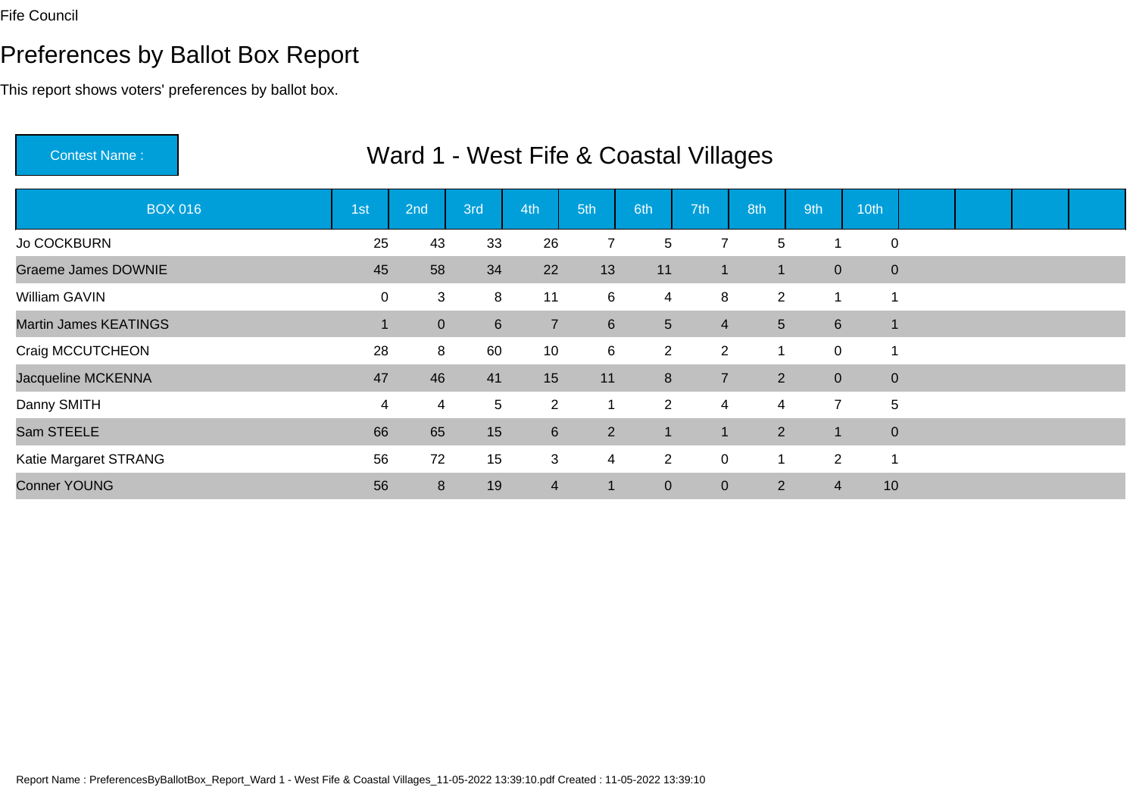# Preferences by Ballot Box Report

| <b>Contest Name:</b>         |                 |                |             |                |                | Ward 1 - West Fife & Coastal Villages |                |                |                         |              |  |  |
|------------------------------|-----------------|----------------|-------------|----------------|----------------|---------------------------------------|----------------|----------------|-------------------------|--------------|--|--|
| <b>BOX 016</b>               | 1 <sub>st</sub> | 2nd            | 3rd         | 4th            | 5th            | 6th                                   | 7th            | 8th            | 9th                     | 10th         |  |  |
| Jo COCKBURN                  | 25              | 43             | 33          | 26             | 7              | 5                                     | 7              | 5              |                         | $\mathbf 0$  |  |  |
| <b>Graeme James DOWNIE</b>   | 45              | 58             | 34          | 22             | 13             | 11                                    | 1              | $\mathbf{1}$   | $\overline{0}$          | $\mathbf{0}$ |  |  |
| William GAVIN                | $\mathbf 0$     | 3              | 8           | 11             | 6              | 4                                     | 8              | $\overline{2}$ | $\overline{\mathbf{1}}$ | -1           |  |  |
| <b>Martin James KEATINGS</b> |                 | $\overline{0}$ | $6^{\circ}$ | $\overline{7}$ | 6              | 5 <sup>5</sup>                        | 4              | 5 <sup>5</sup> | $6\phantom{1}$          | $\mathbf{1}$ |  |  |
| Craig MCCUTCHEON             | 28              | 8              | 60          | 10             | 6              | $\overline{2}$                        | $\overline{2}$ |                | $\mathbf 0$             |              |  |  |
| Jacqueline MCKENNA           | 47              | 46             | 41          | 15             | 11             | 8                                     | $\overline{7}$ | $2^{\circ}$    | $\overline{0}$          | $\mathbf 0$  |  |  |
| Danny SMITH                  | 4               | 4              | 5           | $\overline{2}$ | $\mathbf{1}$   | $\overline{2}$                        | 4              | 4              | $\overline{7}$          | 5            |  |  |
| Sam STEELE                   | 66              | 65             | 15          | 6              | $\overline{2}$ | $\mathbf{1}$                          | 1              | $2^{\circ}$    | $\overline{1}$          | $\mathbf 0$  |  |  |
| Katie Margaret STRANG        | 56              | 72             | 15          | 3              | $\overline{4}$ | 2                                     | $\overline{0}$ | 1              | $\overline{2}$          | -1           |  |  |
| <b>Conner YOUNG</b>          | 56              | 8              | 19          | $\overline{4}$ | $\mathbf 1$    | $\overline{0}$                        | $\overline{0}$ | $\overline{2}$ | $\overline{4}$          | 10           |  |  |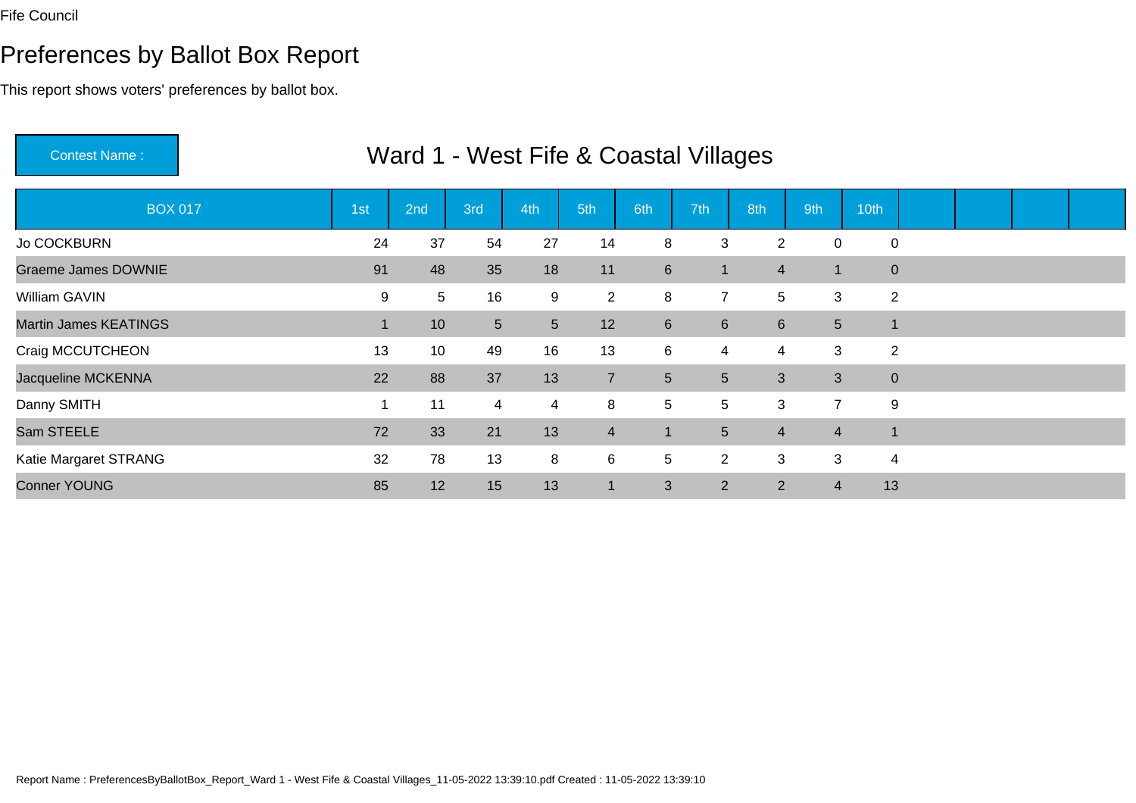# Preferences by Ballot Box Report

| <b>Contest Name:</b>         |     | Ward 1 - West Fife & Coastal Villages |                |     |                |                  |                |                |                 |                |  |  |
|------------------------------|-----|---------------------------------------|----------------|-----|----------------|------------------|----------------|----------------|-----------------|----------------|--|--|
| <b>BOX 017</b>               | 1st | 2nd                                   | 3rd            | 4th | 5th            | 6th              | 7th            | 8th            | 9th             | 10th           |  |  |
| Jo COCKBURN                  | 24  | 37                                    | 54             | 27  | 14             | 8                | 3              | $\overline{2}$ | 0               | $\mathbf 0$    |  |  |
| <b>Graeme James DOWNIE</b>   | 91  | 48                                    | 35             | 18  | 11             | 6                | $\mathbf 1$    | $\overline{4}$ | $\vert$ 1       | $\mathbf{0}$   |  |  |
| William GAVIN                | 9   | 5                                     | 16             | 9   | $\overline{2}$ | 8                | $\overline{7}$ | 5              | 3               | $\overline{2}$ |  |  |
| <b>Martin James KEATINGS</b> |     | 10                                    | 5 <sup>5</sup> | 5   | 12             | $6 \overline{6}$ | 6              | $6^{\circ}$    | $5\phantom{.0}$ | $\mathbf 1$    |  |  |
| Craig MCCUTCHEON             | 13  | 10                                    | 49             | 16  | 13             | 6                | 4              | $\overline{4}$ | 3               | $\overline{2}$ |  |  |
| Jacqueline MCKENNA           | 22  | 88                                    | 37             | 13  | $\overline{7}$ | $5\phantom{.0}$  | 5 <sup>5</sup> | 3              | 3               | $\mathbf 0$    |  |  |
| Danny SMITH                  |     | 11                                    | 4              | 4   | 8              | $5\phantom{.0}$  | 5              | 3              | $\overline{7}$  | 9              |  |  |
| Sam STEELE                   | 72  | 33                                    | 21             | 13  | $\overline{4}$ | 1                | 5              | $\overline{4}$ | $\overline{4}$  | 1              |  |  |
| Katie Margaret STRANG        | 32  | 78                                    | 13             | 8   | 6              | $5\phantom{.0}$  | $\overline{2}$ | 3              | 3               | $\overline{4}$ |  |  |
| <b>Conner YOUNG</b>          | 85  | 12                                    | 15             | 13  | $\mathbf{1}$   | 3                | $\overline{2}$ | 2              | 4               | 13             |  |  |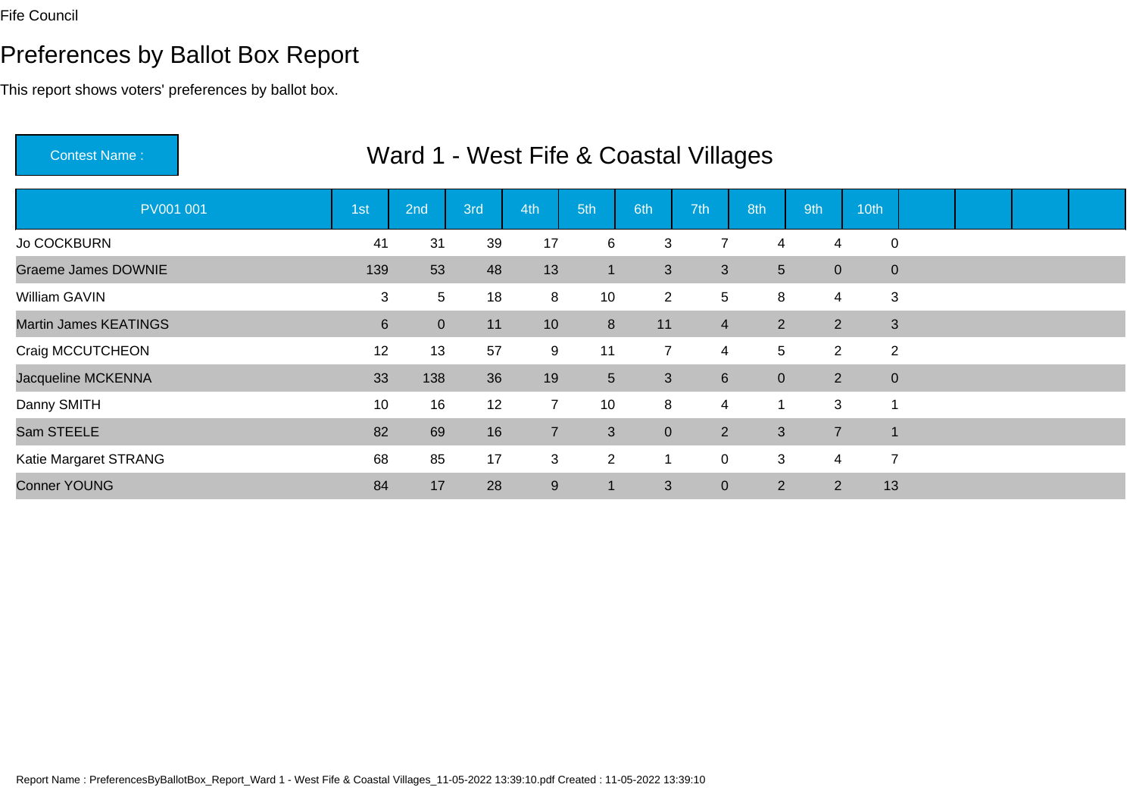# Preferences by Ballot Box Report

| <b>Contest Name:</b>         | Ward 1 - West Fife & Coastal Villages |                |     |                |                |                |                |                |                |                |  |  |  |  |  |
|------------------------------|---------------------------------------|----------------|-----|----------------|----------------|----------------|----------------|----------------|----------------|----------------|--|--|--|--|--|
| PV001 001                    | 1st                                   | 2nd            | 3rd | 4th            | 5th            | 6th            | 7th            | 8th            | 9th            | 10th           |  |  |  |  |  |
| Jo COCKBURN                  | 41                                    | 31             | 39  | 17             | 6              | 3              | 7              | 4              | 4              | $\mathbf 0$    |  |  |  |  |  |
| <b>Graeme James DOWNIE</b>   | 139                                   | 53             | 48  | 13             | $\mathbf 1$    | 3              | 3              | 5 <sup>5</sup> | $\overline{0}$ | $\mathbf 0$    |  |  |  |  |  |
| William GAVIN                | 3                                     | 5              | 18  | 8              | 10             | $\overline{2}$ | 5              | 8              | $\overline{4}$ | 3              |  |  |  |  |  |
| <b>Martin James KEATINGS</b> | 6                                     | $\overline{0}$ | 11  | 10             | 8              | 11             | $\overline{4}$ | 2 <sup>1</sup> | 2              | 3              |  |  |  |  |  |
| Craig MCCUTCHEON             | 12                                    | 13             | 57  | 9              | 11             | $\overline{7}$ | 4              | 5              | $\overline{2}$ | $\overline{2}$ |  |  |  |  |  |
| Jacqueline MCKENNA           | 33                                    | 138            | 36  | 19             | 5 <sup>5</sup> | 3              | 6              | $\overline{0}$ | 2 <sup>1</sup> | $\mathbf 0$    |  |  |  |  |  |
| Danny SMITH                  | 10                                    | 16             | 12  | $\overline{7}$ | 10             | 8              | 4              | $\mathbf 1$    | 3              |                |  |  |  |  |  |
| Sam STEELE                   | 82                                    | 69             | 16  | $\overline{7}$ | 3              | $\mathbf{0}$   | $\overline{2}$ | 3              | $\overline{7}$ |                |  |  |  |  |  |
| Katie Margaret STRANG        | 68                                    | 85             | 17  | 3              | $\overline{2}$ |                | 0              | 3              | 4              | $\overline{7}$ |  |  |  |  |  |
| <b>Conner YOUNG</b>          | 84                                    | 17             | 28  | $9\,$          | $\vert$ 1      | 3              | $\overline{0}$ | 2              | $\overline{2}$ | 13             |  |  |  |  |  |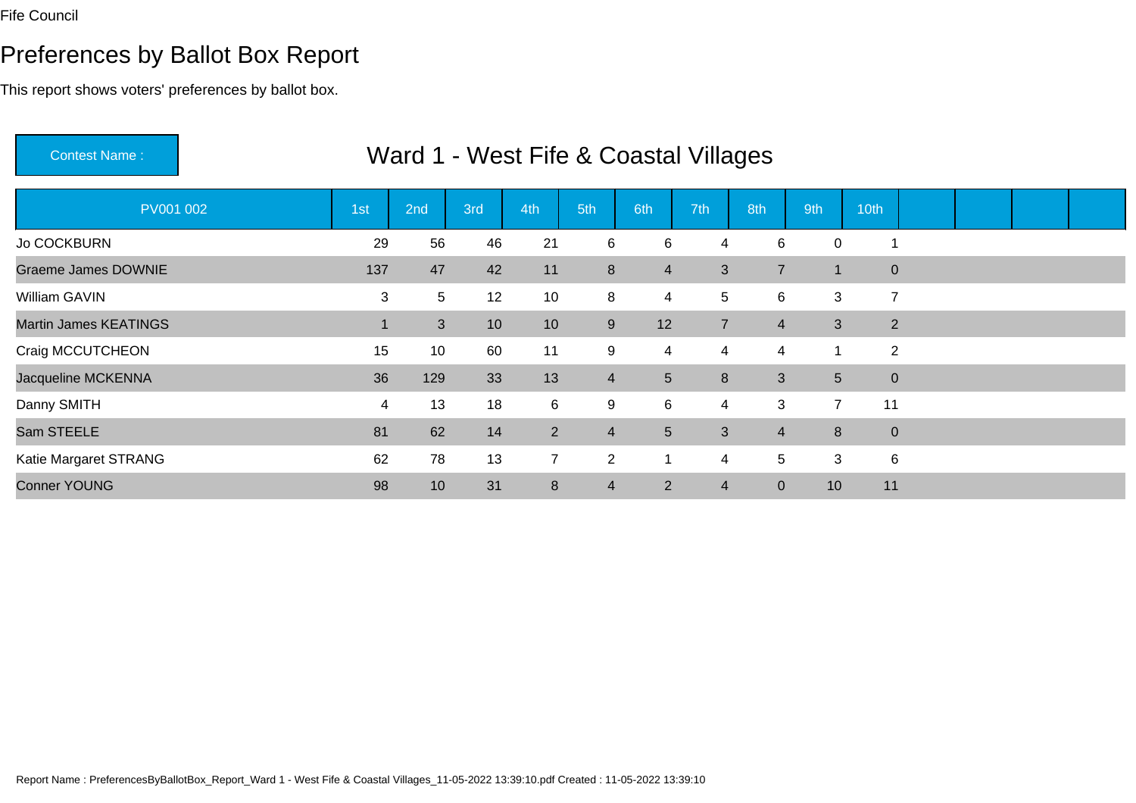# Preferences by Ballot Box Report

| <b>Contest Name:</b>         | Ward 1 - West Fife & Coastal Villages |                |                 |                |                |                 |                |                |                 |                |  |  |  |  |  |
|------------------------------|---------------------------------------|----------------|-----------------|----------------|----------------|-----------------|----------------|----------------|-----------------|----------------|--|--|--|--|--|
| PV001 002                    | 1st                                   | 2nd            | 3rd             | 4th            | 5th            | 6th             | 7th            | 8th            | 9th             | 10th           |  |  |  |  |  |
| Jo COCKBURN                  | 29                                    | 56             | 46              | 21             | 6              | 6               | 4              | 6              | 0               |                |  |  |  |  |  |
| <b>Graeme James DOWNIE</b>   | 137                                   | 47             | 42              | 11             | 8              | $\overline{4}$  | 3              | $\overline{7}$ | $\mathbf{1}$    | $\mathbf 0$    |  |  |  |  |  |
| William GAVIN                | 3                                     | 5              | 12              | 10             | 8              | $\overline{4}$  | 5              | 6              | 3               | $\overline{7}$ |  |  |  |  |  |
| <b>Martin James KEATINGS</b> |                                       | 3 <sup>2</sup> | 10 <sup>°</sup> | 10             | 9              | 12              | $\overline{7}$ | $\overline{4}$ | 3               | 2              |  |  |  |  |  |
| Craig MCCUTCHEON             | 15                                    | 10             | 60              | 11             | 9              | $\overline{4}$  | 4              | $\overline{4}$ | -1              | 2              |  |  |  |  |  |
| Jacqueline MCKENNA           | 36                                    | 129            | 33              | 13             | $\overline{4}$ | $5\phantom{.0}$ | 8              | 3 <sup>1</sup> | $5\phantom{.0}$ | $\mathbf 0$    |  |  |  |  |  |
| Danny SMITH                  | 4                                     | 13             | 18              | 6              | 9              | 6               | 4              | 3              | $\overline{7}$  | 11             |  |  |  |  |  |
| Sam STEELE                   | 81                                    | 62             | 14              | $\overline{2}$ | $\overline{4}$ | $5\phantom{.0}$ | 3              | $\overline{4}$ | 8               | $\mathbf 0$    |  |  |  |  |  |
| Katie Margaret STRANG        | 62                                    | 78             | 13              | $\overline{7}$ | $\overline{2}$ |                 | 4              | 5              | 3               | 6              |  |  |  |  |  |
| <b>Conner YOUNG</b>          | 98                                    | 10             | 31              | 8              | $\overline{4}$ | $\overline{2}$  | 4              | $\overline{0}$ | 10              | 11             |  |  |  |  |  |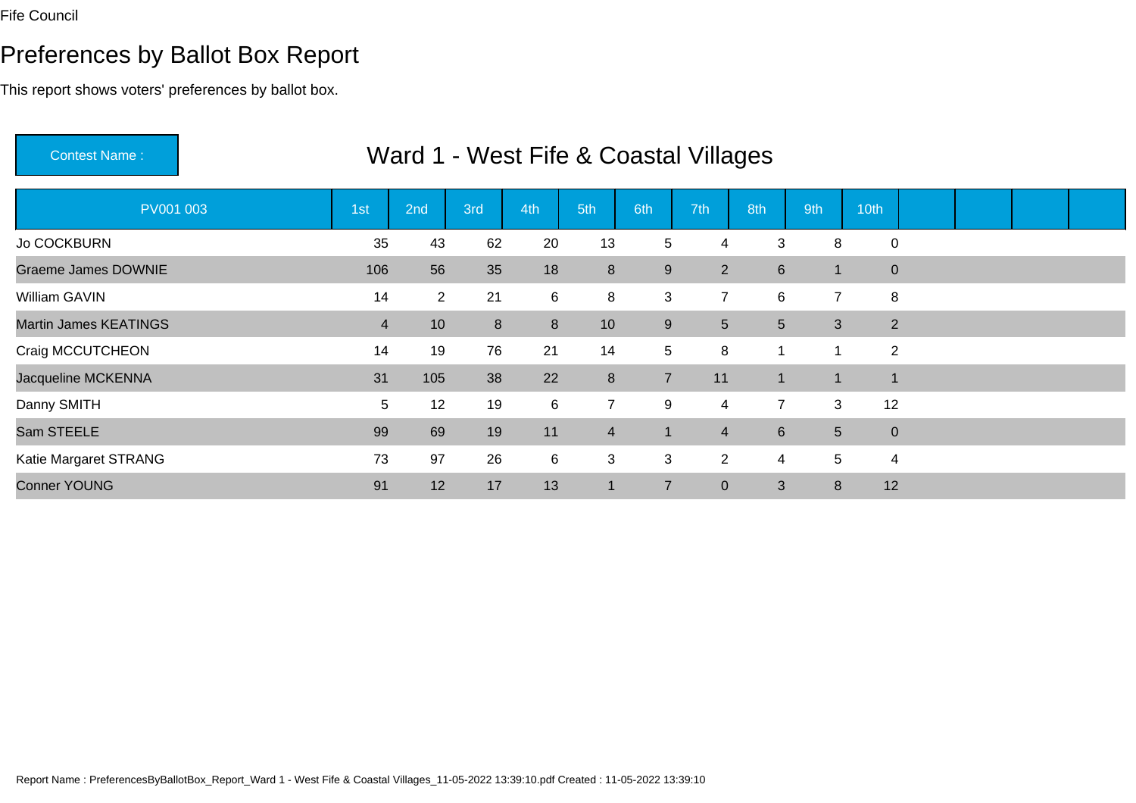# Preferences by Ballot Box Report

| <b>Contest Name:</b>         | Ward 1 - West Fife & Coastal Villages |                 |                |       |                |                |                |                |                |                |  |  |  |  |  |
|------------------------------|---------------------------------------|-----------------|----------------|-------|----------------|----------------|----------------|----------------|----------------|----------------|--|--|--|--|--|
| PV001 003                    | 1st                                   | 2nd             | 3rd            | 4th   | 5th            | 6th            | 7th            | 8th            | 9th            | 10th           |  |  |  |  |  |
| Jo COCKBURN                  | 35                                    | 43              | 62             | 20    | 13             | 5              | 4              | 3              | 8              | $\mathbf 0$    |  |  |  |  |  |
| <b>Graeme James DOWNIE</b>   | 106                                   | 56              | 35             | 18    | 8              | 9              | 2 <sup>1</sup> | 6 <sup>1</sup> | $\mathbf{1}$   | $\mathbf 0$    |  |  |  |  |  |
| William GAVIN                | 14                                    | $\overline{2}$  | 21             | $\,6$ | 8              | 3              | $\overline{7}$ | 6              | $\overline{7}$ | 8              |  |  |  |  |  |
| <b>Martin James KEATINGS</b> | $\overline{4}$                        | 10 <sup>1</sup> | 8 <sup>°</sup> | 8     | 10             | 9              | 5              | 5 <sup>5</sup> | 3              | 2              |  |  |  |  |  |
| Craig MCCUTCHEON             | 14                                    | 19              | 76             | 21    | 14             | 5              | 8              | 1              | 1              | $\overline{2}$ |  |  |  |  |  |
| Jacqueline MCKENNA           | 31                                    | 105             | 38             | 22    | 8              | $\overline{7}$ | 11             | -1             | $\mathbf{1}$   | $\overline{1}$ |  |  |  |  |  |
| Danny SMITH                  | 5                                     | 12              | 19             | 6     | $\overline{7}$ | 9              | 4              | $\overline{7}$ | 3              | 12             |  |  |  |  |  |
| Sam STEELE                   | 99                                    | 69              | 19             | 11    | $\overline{4}$ | 1              | 4              | $6^{\circ}$    | $5\phantom{.}$ | $\mathbf 0$    |  |  |  |  |  |
| Katie Margaret STRANG        | 73                                    | 97              | 26             | 6     | 3              | 3              | $\overline{2}$ | 4              | 5              | 4              |  |  |  |  |  |
| <b>Conner YOUNG</b>          | 91                                    | 12              | 17             | 13    | $\vert$ 1      | $\overline{7}$ | $\overline{0}$ | 3              | 8              | 12             |  |  |  |  |  |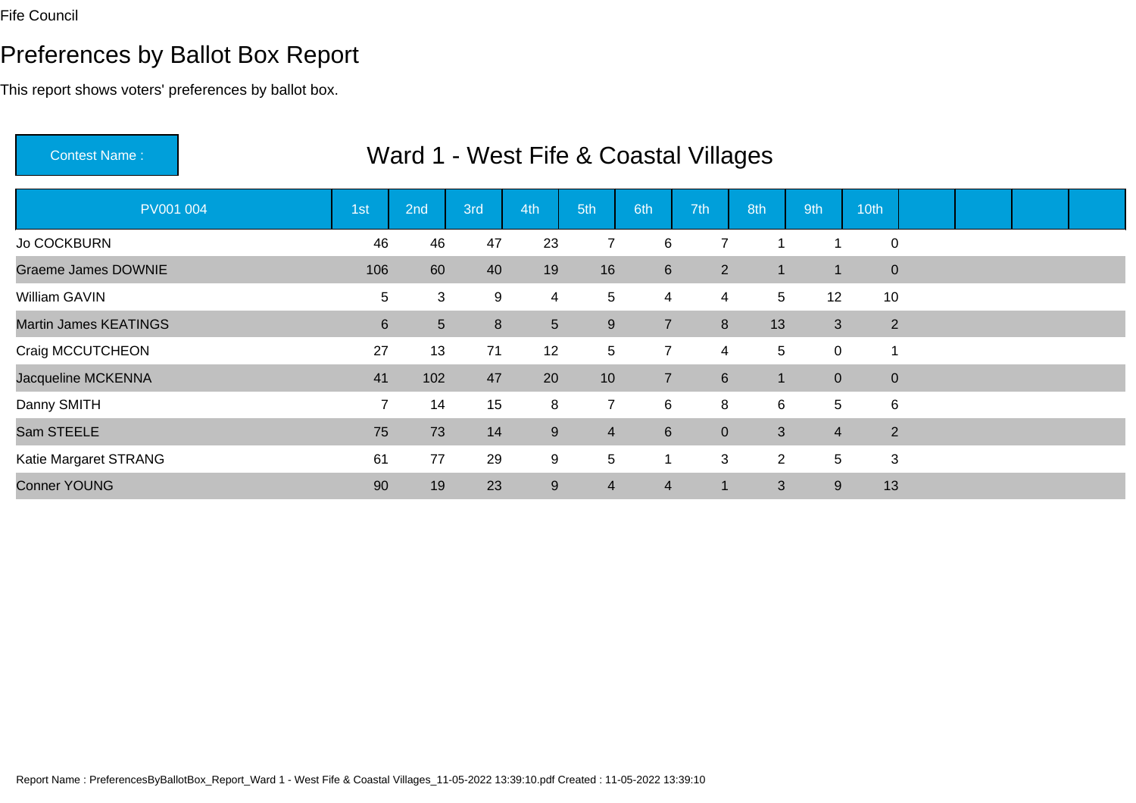# Preferences by Ballot Box Report

| <b>Contest Name:</b>         | Ward 1 - West Fife & Coastal Villages |                |     |                |                |                |                  |                 |                |              |  |  |  |  |  |
|------------------------------|---------------------------------------|----------------|-----|----------------|----------------|----------------|------------------|-----------------|----------------|--------------|--|--|--|--|--|
| PV001 004                    | 1 <sub>st</sub>                       | 2nd            | 3rd | 4th            | 5th            | 6th            | 7th              | 8th             | 9th            | 10th         |  |  |  |  |  |
| <b>Jo COCKBURN</b>           | 46                                    | 46             | 47  | 23             | 7              | 6              | 7                |                 |                | $\mathbf 0$  |  |  |  |  |  |
| <b>Graeme James DOWNIE</b>   | 106                                   | 60             | 40  | 19             | 16             | $6\phantom{1}$ | $2^{\circ}$      |                 | $\overline{1}$ | $\mathbf{0}$ |  |  |  |  |  |
| <b>William GAVIN</b>         | 5                                     | 3              | 9   | 4              | 5              | $\overline{4}$ | 4                | $5\overline{)}$ | 12             | 10           |  |  |  |  |  |
| <b>Martin James KEATINGS</b> | 6                                     | 5 <sup>5</sup> | 8   | 5 <sup>5</sup> | 9              | $\overline{7}$ | 8                | 13              | 3              | 2            |  |  |  |  |  |
| Craig MCCUTCHEON             | 27                                    | 13             | 71  | 12             | 5              | $\overline{7}$ | 4                | 5               | $\mathbf 0$    |              |  |  |  |  |  |
| Jacqueline MCKENNA           | 41                                    | 102            | 47  | 20             | 10             | $\overline{7}$ | $6 \overline{6}$ |                 | $\overline{0}$ | $\mathbf 0$  |  |  |  |  |  |
| Danny SMITH                  | $\overline{7}$                        | 14             | 15  | 8              | $\overline{7}$ | 6              | 8                | 6               | 5              | 6            |  |  |  |  |  |
| Sam STEELE                   | 75                                    | 73             | 14  | 9              | $\overline{4}$ | $6\phantom{1}$ | $\overline{0}$   | 3               | $\overline{4}$ | 2            |  |  |  |  |  |
| Katie Margaret STRANG        | 61                                    | 77             | 29  | 9              | 5              |                | 3                | $\overline{2}$  | 5              | 3            |  |  |  |  |  |
| <b>Conner YOUNG</b>          | 90                                    | 19             | 23  | 9              | $\overline{4}$ | $\overline{4}$ | 1                | 3               | 9              | 13           |  |  |  |  |  |